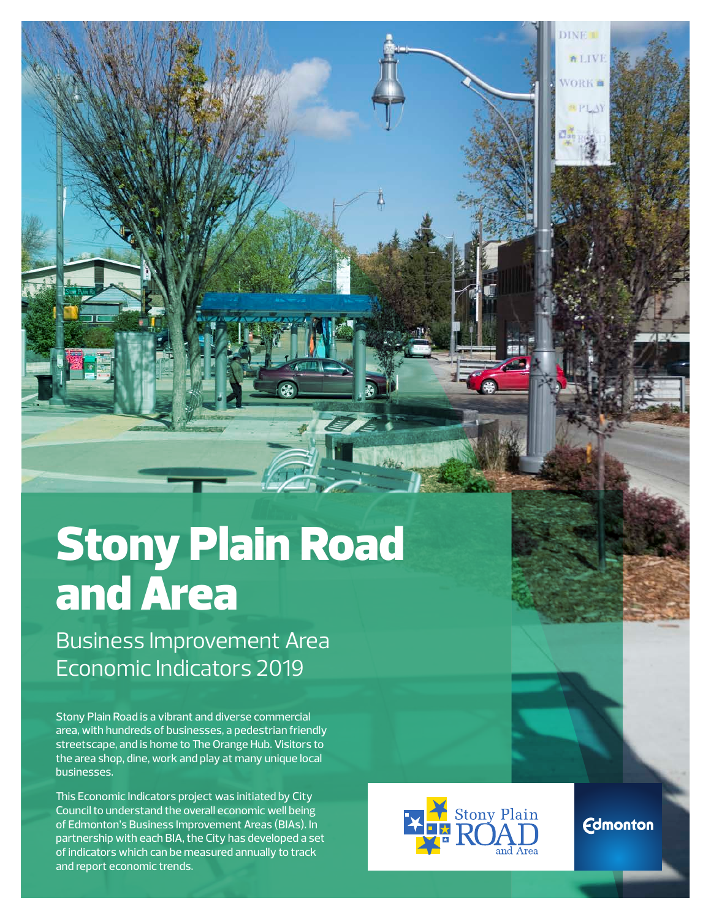# Stony Plain Road and Area

Business Improvement Area Economic Indicators 2019

Stony Plain Road is a vibrant and diverse commercial area, with hundreds of businesses, a pedestrian friendly streetscape, and is home to The Orange Hub. Visitors to the area shop, dine, work and play at many unique local businesses.

This Economic Indicators project was initiated by City Council to understand the overall economic well being of Edmonton's Business Improvement Areas (BIAs). In partnership with each BIA, the City has developed a set of indicators which can be measured annually to track and report economic trends.



**Edmonton**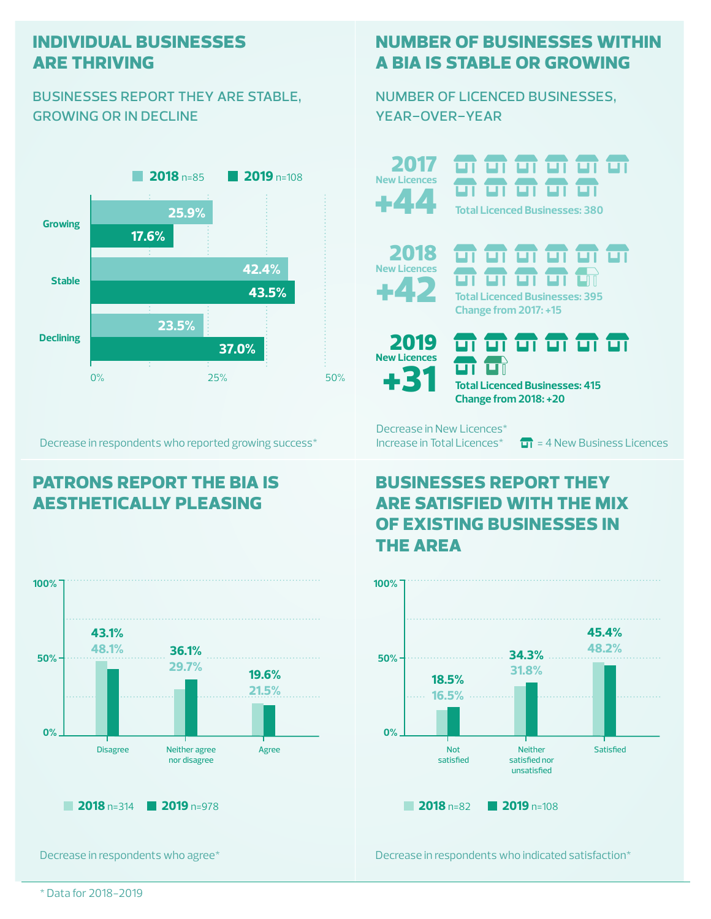## **individual businesses are thriving**

#### businesses report they are stable, growing or in decline



Decrease in respondents who reported growing success\*

# **patrons report the bia is aesthetically pleasing**



Decrease in respondents who agree\*

# **number of businesses within a bia is stable or growing**

number of licenced businesses, year-over-year

+44 2017 **New Licences**

**2019** n=108 **2017 2017 11 11 11 11 11 11** <del>01</del> 01 01 01 **Total Licenced Businesses: 380**







<del>a a a a a a</del> шÑ **Total Licenced Businesses: 415 Change from 2018: +20**

Decrease in New Licences\*

Increase in Total Licences<sup>\*</sup>  $\Box$  = 4 New Business Licences

# **businesses report they are satisfied with the mix of existing businesses in the area**



Decrease in respondents who indicated satisfaction\*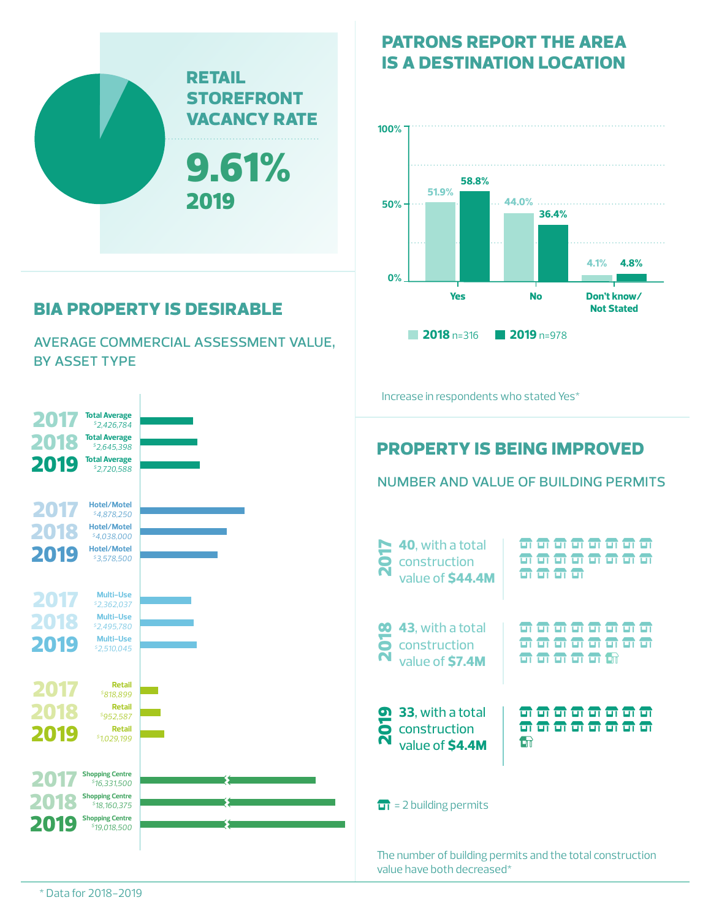

# **bia property is desirable**

average commercial assessment value, by asset type



# **patrons report the area is a destination location**



### **property is being improved**

value have both decreased\*

number and value of building permits

| * Data for 2018-2019 |  |
|----------------------|--|